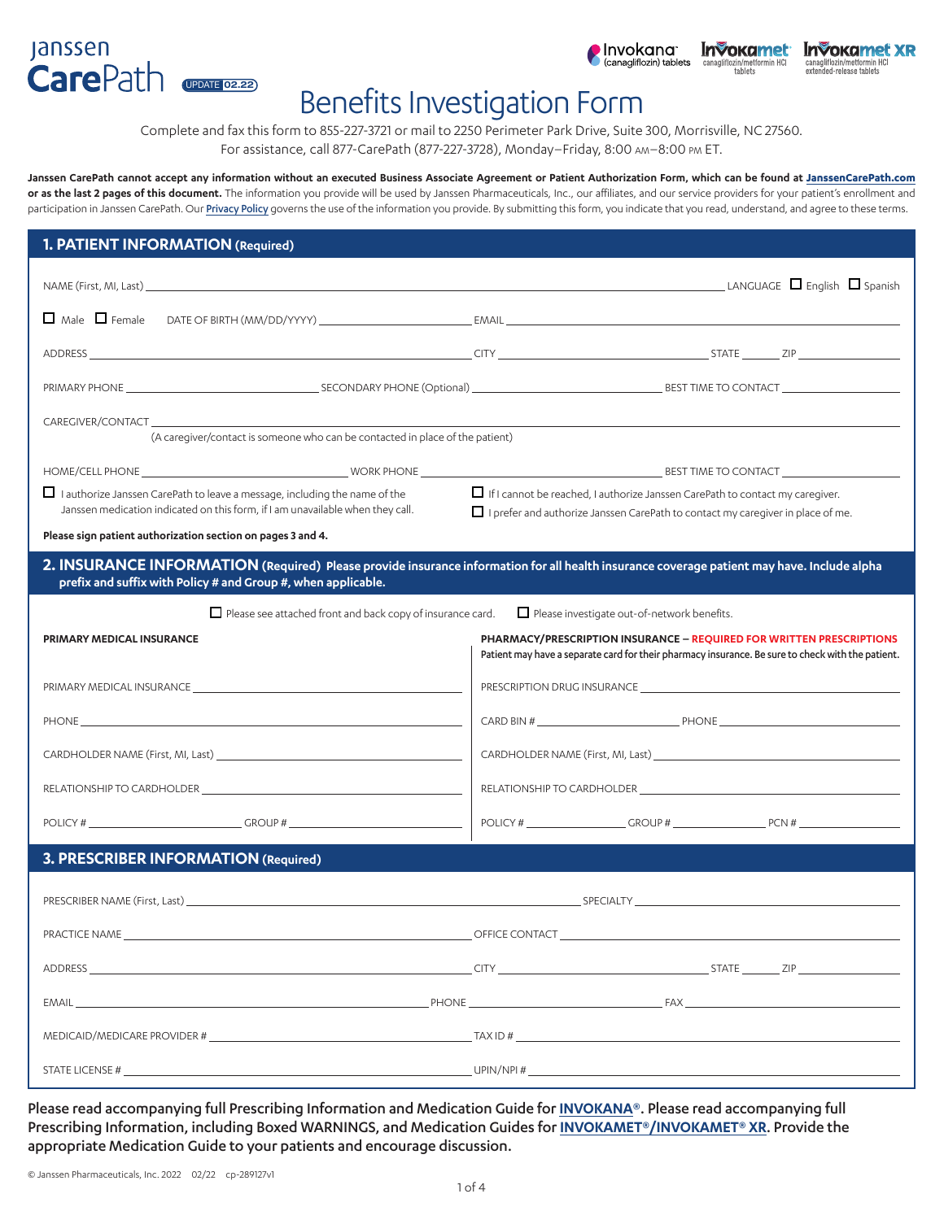### **Janssen** CarePath UPDATE 02.22



# Benefits Investigation Form

Complete and fax this form to 855-227-3721 or mail to 2250 Perimeter Park Drive, Suite 300, Morrisville, NC 27560. For assistance, call 877-CarePath (877-227-3728), Monday–Friday, 8:00 am–8:00 pm ET.

**Janssen CarePath cannot accept any information without an executed Business Associate Agreement or Patient Authorization Form, which can be found at [JanssenCarePath.com](https://www.janssencarepath.com/hcp)** or as the last 2 pages of this document. The information you provide will be used by Janssen Pharmaceuticals, Inc., our affiliates, and our service providers for your patient's enrollment and participation in Janssen CarePath. Our [Privacy Policy](https://www.janssencarepath.com/hcp/privacy-policy) governs the use of the information you provide. By submitting this form, you indicate that you read, understand, and agree to these terms.

| 1. PATIENT INFORMATION (Required)                                                                                                                                                                                                                                                                              |                                                                                                                                                                                                                                                                                                                                                                                                                                                                                                       |  |  |
|----------------------------------------------------------------------------------------------------------------------------------------------------------------------------------------------------------------------------------------------------------------------------------------------------------------|-------------------------------------------------------------------------------------------------------------------------------------------------------------------------------------------------------------------------------------------------------------------------------------------------------------------------------------------------------------------------------------------------------------------------------------------------------------------------------------------------------|--|--|
|                                                                                                                                                                                                                                                                                                                |                                                                                                                                                                                                                                                                                                                                                                                                                                                                                                       |  |  |
|                                                                                                                                                                                                                                                                                                                |                                                                                                                                                                                                                                                                                                                                                                                                                                                                                                       |  |  |
|                                                                                                                                                                                                                                                                                                                |                                                                                                                                                                                                                                                                                                                                                                                                                                                                                                       |  |  |
|                                                                                                                                                                                                                                                                                                                |                                                                                                                                                                                                                                                                                                                                                                                                                                                                                                       |  |  |
| CAREGIVER/CONTACT CAREGIVER AND THE STATE OF STATE OF STATE OF STATE OF STATE OF STATE OF STATE OF STATE OF STATE OF STATE OF STATE OF STATE OF STATE OF STATE OF STATE OF STATE OF STATE OF STATE OF STATE OF STATE OF STATE<br>(A caregiver/contact is someone who can be contacted in place of the patient) |                                                                                                                                                                                                                                                                                                                                                                                                                                                                                                       |  |  |
|                                                                                                                                                                                                                                                                                                                |                                                                                                                                                                                                                                                                                                                                                                                                                                                                                                       |  |  |
| $\Box$ I authorize Janssen CarePath to leave a message, including the name of the<br>Janssen medication indicated on this form, if I am unavailable when they call.                                                                                                                                            | $\Box$ If I cannot be reached, I authorize Janssen CarePath to contact my caregiver.<br>I prefer and authorize Janssen CarePath to contact my caregiver in place of me.                                                                                                                                                                                                                                                                                                                               |  |  |
| Please sign patient authorization section on pages 3 and 4.                                                                                                                                                                                                                                                    |                                                                                                                                                                                                                                                                                                                                                                                                                                                                                                       |  |  |
| 2. INSURANCE INFORMATION (Required) Please provide insurance information for all health insurance coverage patient may have. Include alpha<br>prefix and suffix with Policy # and Group #, when applicable.                                                                                                    |                                                                                                                                                                                                                                                                                                                                                                                                                                                                                                       |  |  |
| $\Box$ Please see attached front and back copy of insurance card.                                                                                                                                                                                                                                              | $\Box$ Please investigate out-of-network benefits.                                                                                                                                                                                                                                                                                                                                                                                                                                                    |  |  |
| <b>PRIMARY MEDICAL INSURANCE</b>                                                                                                                                                                                                                                                                               | PHARMACY/PRESCRIPTION INSURANCE - REQUIRED FOR WRITTEN PRESCRIPTIONS<br>Patient may have a separate card for their pharmacy insurance. Be sure to check with the patient.                                                                                                                                                                                                                                                                                                                             |  |  |
| PRIMARY MEDICAL INSURANCE NEWSFILM AND THE RESERVE TO A REPORT OF THE RESERVE TO A REPORT OF THE RESERVE TO A REPORT OF THE REPORT OF THE REPORT OF THE REPORT OF THE REPORT OF THE REPORT OF THE REPORT OF THE REPORT OF THE                                                                                  | PRESCRIPTION DRUG INSURANCE CONTRACT DESCRIPTION ON A SERVICE OF A SERVICE OF STATE OF A SERVICE OF A SERVICE OF A SERVICE OF A SERVICE OF A SERVICE OF A SERVICE OF A SERVICE OF A SERVICE OF A SERVICE OF A SERVICE OF A SER                                                                                                                                                                                                                                                                        |  |  |
|                                                                                                                                                                                                                                                                                                                |                                                                                                                                                                                                                                                                                                                                                                                                                                                                                                       |  |  |
|                                                                                                                                                                                                                                                                                                                |                                                                                                                                                                                                                                                                                                                                                                                                                                                                                                       |  |  |
| RELATIONSHIP TO CARDHOLDER <b>AND THE RELATIONSHIP</b> TO CARDHOLDER                                                                                                                                                                                                                                           |                                                                                                                                                                                                                                                                                                                                                                                                                                                                                                       |  |  |
| $\noindent \text{POLICY #} \underline{\hspace{2cm}} \underline{\hspace{2cm}} \text{GROUP #} \underline{\hspace{2cm}} \underline{\hspace{2cm}} \text{GROUP} + \underline{\hspace{2cm}} \underline{\hspace{2cm}} \underline{\hspace{2cm}} \underline{\hspace{2cm}}$                                              | $\noindent \text{POLICY #}\n\underline{\hspace{2cm}}\n\underline{\hspace{2cm}}\n\underline{\hspace{2cm}}\n\underline{\hspace{2cm}}\n\underline{\hspace{2cm}}\n\underline{\hspace{2cm}}\n\underline{\hspace{2cm}}\n\underline{\hspace{2cm}}\n\underline{\hspace{2cm}}\n\underline{\hspace{2cm}}\n\underline{\hspace{2cm}}\n\underline{\hspace{2cm}}\n\underline{\hspace{2cm}}\n\underline{\hspace{2cm}}\n\underline{\hspace{2cm}}\n\underline{\hspace{2cm}}\n\underline{\hspace{2cm}}\n\underline{\hs$ |  |  |
| 3. PRESCRIBER INFORMATION (Required)                                                                                                                                                                                                                                                                           |                                                                                                                                                                                                                                                                                                                                                                                                                                                                                                       |  |  |
|                                                                                                                                                                                                                                                                                                                |                                                                                                                                                                                                                                                                                                                                                                                                                                                                                                       |  |  |
|                                                                                                                                                                                                                                                                                                                | PRACTICE NAME CONTACT CONTACT CONTACT CONTACT CONTACT CONTACT CONTACT CONTACT CONTACT CONTACT CONTACT CONTACT CONTACT CONTACT CONTACT CONTACT CONTACT CONTACT CONTACT CONTACT CONTACT CONTACT CONTACT CONTACT CONTACT CONTACT                                                                                                                                                                                                                                                                         |  |  |
|                                                                                                                                                                                                                                                                                                                |                                                                                                                                                                                                                                                                                                                                                                                                                                                                                                       |  |  |
|                                                                                                                                                                                                                                                                                                                | EMAIL EXAMPLE AND THE RESERVE TO A RESERVE THE RESERVE TO A RESERVE THE RESERVE TO A RESERVE THE RESERVE TO A RESERVE THE RESERVE TO A RESERVE THE RESERVE TO A RESERVE THE RESERVE TO A RESERVE THE RESERVE TO A RESERVE THE                                                                                                                                                                                                                                                                         |  |  |
|                                                                                                                                                                                                                                                                                                                |                                                                                                                                                                                                                                                                                                                                                                                                                                                                                                       |  |  |
| STATE LICENSE $\#$ $\Box$                                                                                                                                                                                                                                                                                      |                                                                                                                                                                                                                                                                                                                                                                                                                                                                                                       |  |  |

Please read accompanying full Prescribing Information and Medication Guide for **[INVOKANA](https://www.janssenlabels.com/package-insert/product-monograph/prescribing-information/INVOKANA-pi.pdf)**®. Please read accompanying full Prescribing Information, including Boxed WARNINGS, and Medication Guides for **[INVOKAMET®/INVOKAMET® XR](https://www.janssenlabels.com/package-insert/product-monograph/prescribing-information/INVOKAMET+XR-pi.pdf)**. Provide the appropriate Medication Guide to your patients and encourage discussion.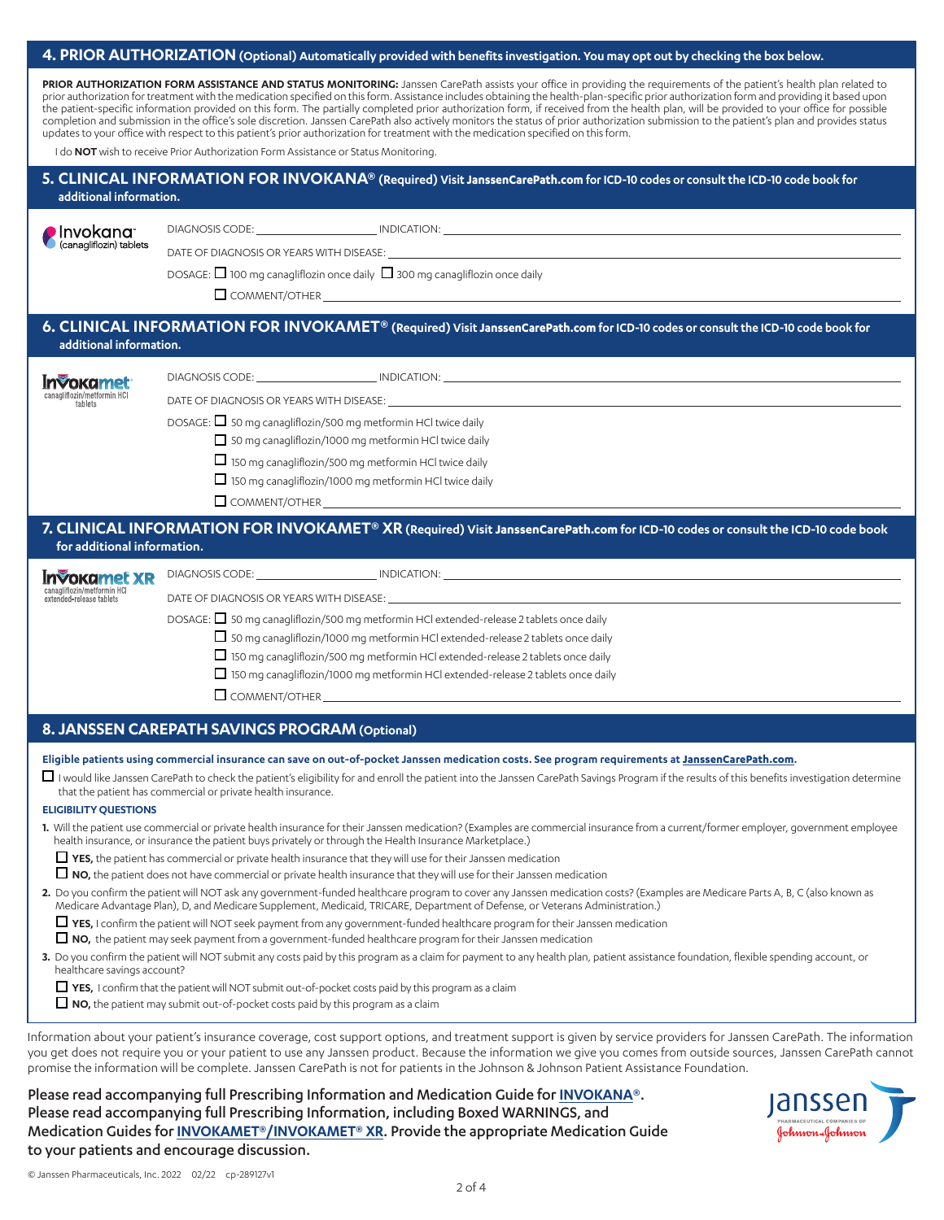### 4. PRIOR AUTHORIZATION (Optional) Automatically provided with benefits investigation. You may opt out by checking the box below.

PRIOR AUTHORIZATION FORM ASSISTANCE AND STATUS MONITORING: Janssen CarePath assists your office in providing the requirements of the patient's health plan related to prior authorization for treatment with the medication specified on this form. Assistance includes obtaining the health-plan-specific prior authorization form and providing it based upon the patient-specific information provided on this form. The partially completed prior authorization form, if received from the health plan, will be provided to your office for possible completion and submission in the office's sole discretion. Janssen CarePath also actively monitors the status of prior authorization submission to the patient's plan and provides status updates to your office with respect to this patient's prior authorization for treatment with the medication specified on this form.

I do **NOT** wish to receive Prior Authorization Form Assistance or Status Monitoring.

#### **5. CLINICAL INFORMATION FOR INVOKANA® (Required) Visit JanssenCarePath.com for ICD-10 codes or consult the ICD-10 code book for additional information.**

| Invokana                |
|-------------------------|
| (canagliflozin) tablets |

DIAGNOSIS CODE: INDICATION:

DATE OF DIAGNOSIS OR YEARS WITH DISEASE:

DOSAGE:  $\Box$  100 mg canagliflozin once daily  $\Box$  300 mg canagliflozin once daily

 $\Box$  COMMENT/OTHER

#### **6. CLINICAL INFORMATION FOR INVOKAMET® (Required) Visit JanssenCarePath.com for ICD-10 codes or consult the ICD-10 code book for additional information.**

| <b>Invokamet</b><br>canagliflozin/metformin HCl<br>tablets | DIAGNOSIS CODE: The contract of the contract of the contract of the contract of the contract of the contract of the contract of the contract of the contract of the contract of the contract of the contract of the contract o<br>INDICATION: <b>Annual Structure Control</b> |
|------------------------------------------------------------|-------------------------------------------------------------------------------------------------------------------------------------------------------------------------------------------------------------------------------------------------------------------------------|
|                                                            | DATE OF DIAGNOSIS OR YEARS WITH DISEASE: THE STATE OF DISCOVERING STATE OF DIAGNOSIS OR YEARS WITH DISEASE:                                                                                                                                                                   |
|                                                            | DOSAGE: □ 50 mg canagliflozin/500 mg metformin HCl twice daily                                                                                                                                                                                                                |
|                                                            | 50 mg canagliflozin/1000 mg metformin HCl twice daily                                                                                                                                                                                                                         |
|                                                            | $\Box$ 150 mg canagliflozin/500 mg metformin HCl twice daily                                                                                                                                                                                                                  |
|                                                            | $\Box$ 150 mg canagliflozin/1000 mg metformin HCl twice daily                                                                                                                                                                                                                 |
|                                                            | $\Box$ COMMENT/OTHER                                                                                                                                                                                                                                                          |

#### **7. CLINICAL INFORMATION FOR INVOKAMET® XR (Required) Visit JanssenCarePath.com for ICD-10 codes or consult the ICD-10 code book for additional information.**

| <b>Invokamet XR</b><br>canagliflozin/metformin HCl<br>extended-release tablets | DIAGNOSIS CODE: THE STATE OF THE STATE OF THE STATE OF THE STATE OF THE STATE OF THE STATE OF THE STATE OF THE<br>INDICATION: <b>Annual State Community Community</b> |
|--------------------------------------------------------------------------------|-----------------------------------------------------------------------------------------------------------------------------------------------------------------------|
|                                                                                | DATE OF DIAGNOSIS OR YEARS WITH DISEASE:<br><u> 1989 - John Stone, amerikansk politiker (* 1989)</u>                                                                  |
|                                                                                | DOSAGE: $\Box$ 50 mg canagliflozin/500 mg metformin HCl extended-release 2 tablets once daily                                                                         |
|                                                                                | $\Box$ 50 mg canagliflozin/1000 mg metformin HCl extended-release 2 tablets once daily                                                                                |
|                                                                                | $\Box$ 150 mg canagliflozin/500 mg metformin HCl extended-release 2 tablets once daily                                                                                |
|                                                                                | $\Box$ 150 mg canagliflozin/1000 mg metformin HCl extended-release 2 tablets once daily                                                                               |
|                                                                                | $\Box$ COMMENT/OTHER                                                                                                                                                  |
|                                                                                |                                                                                                                                                                       |

#### **8. JANSSEN CAREPATH SAVINGS PROGRAM(Optional)**

#### **Eligible patients using commercial insurance can save on out-of-pocket Janssen medication costs. See program requirements at [JanssenCarePath.com](https://www.janssencarepath.com/hcp).**

 $\Box$  I would like Janssen CarePath to check the patient's eligibility for and enroll the patient into the Janssen CarePath Savings Program if the results of this benefits investigation determine that the patient has commercial or private health insurance.

#### **ELIGIBILITY QUESTIONS**

**1.** Will the patient use commercial or private health insurance for their Janssen medication? (Examples are commercial insurance from a current/former employer, government employee health insurance, or insurance the patient buys privately or through the Health Insurance Marketplace.)

**YES,** the patient has commercial or private health insurance that they will use for their Janssen medication

**NO,** the patient does not have commercial or private health insurance that they will use for their Janssen medication

**2.** Do you confirm the patient will NOT ask any government-funded healthcare program to cover any Janssen medication costs? (Examples are Medicare Parts A, B, C (also known as Medicare Advantage Plan), D, and Medicare Supplement, Medicaid, TRICARE, Department of Defense, or Veterans Administration.)

**YES,** I confirm the patient will NOT seek payment from any government-funded healthcare program for their Janssen medication

**NO,** the patient may seek payment from a government-funded healthcare program for their Janssen medication

**3.** Do you confirm the patient will NOT submit any costs paid by this program as a claim for payment to any health plan, patient assistance foundation, flexible spending account, or healthcare savings account?

**YES,** I confirm that the patient will NOT submit out-of-pocket costs paid by this program as a claim

**NO,** the patient may submit out-of-pocket costs paid by this program as a claim

Information about your patient's insurance coverage, cost support options, and treatment support is given by service providers for Janssen CarePath. The information you get does not require you or your patient to use any Janssen product. Because the information we give you comes from outside sources, Janssen CarePath cannot promise the information will be complete. Janssen CarePath is not for patients in the Johnson & Johnson Patient Assistance Foundation.

Please read accompanying full Prescribing Information and Medication Guide for **[INVOKANA](https://www.janssenlabels.com/package-insert/product-monograph/prescribing-information/INVOKANA-pi.pdf)**®. Please read accompanying full Prescribing Information, including Boxed WARNINGS, and Medication Guides for **[INVOKAMET®/INVOKAMET® XR](https://www.janssenlabels.com/package-insert/product-monograph/prescribing-information/INVOKAMET+XR-pi.pdf)**. Provide the appropriate Medication Guide to your patients and encourage discussion.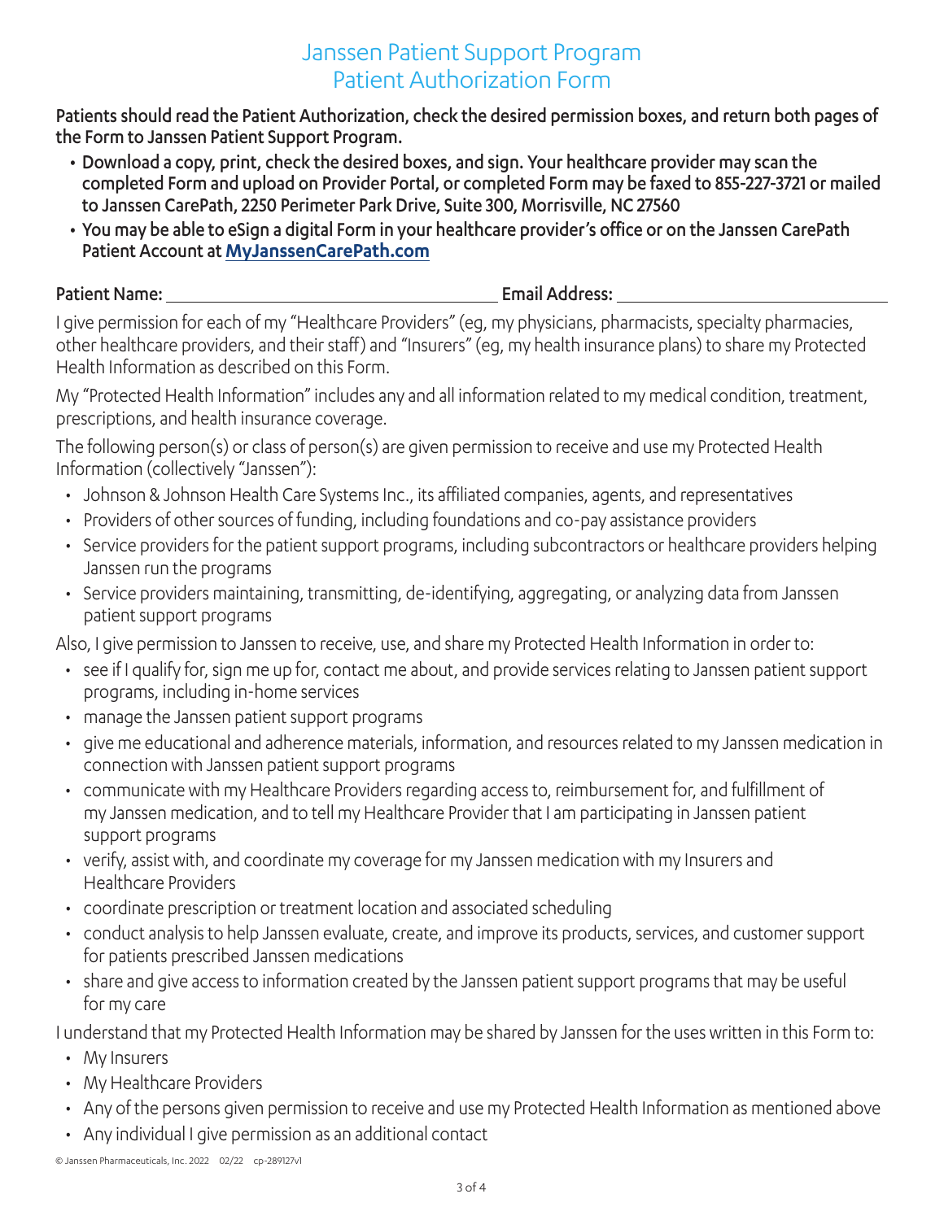# Janssen Patient Support Program Patient Authorization Form

Patients should read the Patient Authorization, check the desired permission boxes, and return both pages of the Form to Janssen Patient Support Program.

- Download a copy, print, check the desired boxes, and sign. Your healthcare provider may scan the completed Form and upload on Provider Portal, or completed Form may be faxed to 855-227-3721 or mailed to Janssen CarePath, 2250 Perimeter Park Drive, Suite 300, Morrisville, NC 27560
- You may be able to eSign a digital Form in your healthcare provider's office or on the Janssen CarePath Patient Account at **[MyJanssenCarePath.com](https://www.myjanssencarepath.com/)**

Patient Name: Email Address:

I give permission for each of my "Healthcare Providers" (eg, my physicians, pharmacists, specialty pharmacies, other healthcare providers, and their staff) and "Insurers" (eg, my health insurance plans) to share my Protected Health Information as described on this Form.

My "Protected Health Information" includes any and all information related to my medical condition, treatment, prescriptions, and health insurance coverage.

The following person(s) or class of person(s) are given permission to receive and use my Protected Health Information (collectively "Janssen"):

- Johnson & Johnson Health Care Systems Inc., its affiliated companies, agents, and representatives
- Providers of other sources of funding, including foundations and co-pay assistance providers
- Service providers for the patient support programs, including subcontractors or healthcare providers helping Janssen run the programs
- Service providers maintaining, transmitting, de-identifying, aggregating, or analyzing data from Janssen patient support programs

Also, I give permission to Janssen to receive, use, and share my Protected Health Information in order to:

- see if I qualify for, sign me up for, contact me about, and provide services relating to Janssen patient support programs, including in-home services
- manage the Janssen patient support programs
- give me educational and adherence materials, information, and resources related to my Janssen medication in connection with Janssen patient support programs
- communicate with my Healthcare Providers regarding access to, reimbursement for, and fulfillment of my Janssen medication, and to tell my Healthcare Provider that I am participating in Janssen patient support programs
- verify, assist with, and coordinate my coverage for my Janssen medication with my Insurers and Healthcare Providers
- coordinate prescription or treatment location and associated scheduling
- conduct analysis to help Janssen evaluate, create, and improve its products, services, and customer support for patients prescribed Janssen medications
- share and give access to information created by the Janssen patient support programs that may be useful for my care

I understand that my Protected Health Information may be shared by Janssen for the uses written in this Form to:

- My Insurers
- My Healthcare Providers
- Any of the persons given permission to receive and use my Protected Health Information as mentioned above
- Any individual I give permission as an additional contact